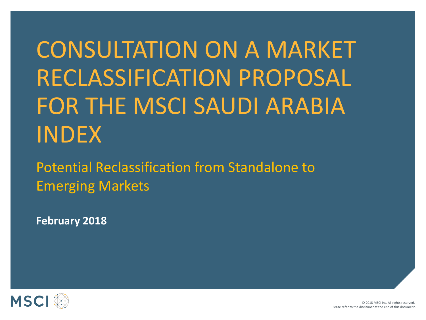# CONSULTATION ON A MARKET RECLASSIFICATION PROPOSAL FOR THE MSCI SAUDI ARABIA INDEX

Potential Reclassification from Standalone to Emerging Markets

**February 2018**

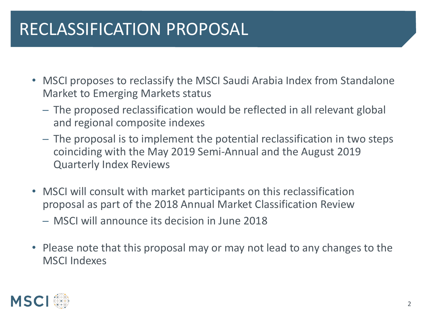## RECLASSIFICATION PROPOSAL

- MSCI proposes to reclassify the MSCI Saudi Arabia Index from Standalone Market to Emerging Markets status
	- ─ The proposed reclassification would be reflected in all relevant global and regional composite indexes
	- ─ The proposal is to implement the potential reclassification in two steps coinciding with the May 2019 Semi‐Annual and the August 2019 Quarterly Index Reviews
- MSCI will consult with market participants on this reclassification proposal as part of the 2018 Annual Market Classification Review
	- ─ MSCI will announce its decision in June 2018
- Please note that this proposal may or may not lead to any changes to the MSCI Indexes

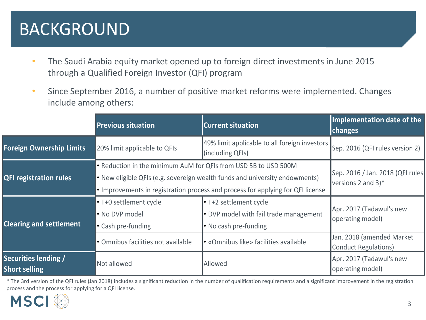## BACKGROUND

- The Saudi Arabia equity market opened up to foreign direct investments in June 2015 through a Qualified Foreign Investor (QFI) program
- Since September 2016, a number of positive market reforms were implemented. Changes include among others:

|                                              | <b>Previous situation</b>                                                                                                                                                                                                               | <b>Current situation</b>                                                                  | Implementation date of the<br>changes                               |
|----------------------------------------------|-----------------------------------------------------------------------------------------------------------------------------------------------------------------------------------------------------------------------------------------|-------------------------------------------------------------------------------------------|---------------------------------------------------------------------|
| <b>Foreign Ownership Limits</b>              | 20% limit applicable to QFIs                                                                                                                                                                                                            | 49% limit applicable to all foreign investors<br>(including QFIs)                         | Sep. 2016 (QFI rules version 2)                                     |
| <b>QFI registration rules</b>                | • Reduction in the minimum AuM for QFIs from USD 5B to USD 500M<br>• New eligible QFIs (e.g. sovereign wealth funds and university endowments)<br>$\cdot$ Improvements in registration process and process for applying for QFI license |                                                                                           | Sep. 2016 / Jan. 2018 (QFI rules<br>versions 2 and $3$ <sup>*</sup> |
| <b>Clearing and settlement</b>               | $\cdot$ T+0 settlement cycle<br>• No DVP model<br>• Cash pre-funding                                                                                                                                                                    | • T+2 settlement cycle<br>• DVP model with fail trade management<br>• No cash pre-funding | Apr. 2017 (Tadawul's new<br>operating model)                        |
|                                              | • Omnibus facilities not available                                                                                                                                                                                                      | • «Omnibus like» facilities available                                                     | Jan. 2018 (amended Market<br>Conduct Regulations)                   |
| Securities lending /<br><b>Short selling</b> | Not allowed                                                                                                                                                                                                                             | Allowed                                                                                   | Apr. 2017 (Tadawul's new<br>operating model)                        |

\* The 3rd version of the QFI rules (Jan 2018) includes a significant reduction in the number of qualification requirements and a significant improvement in the registration process and the process for applying for a QFI license.

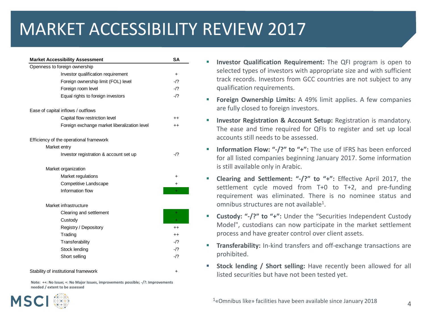# MARKET ACCESSIBILITY REVIEW 2017

| Openness to foreign ownership |                                              |                  |
|-------------------------------|----------------------------------------------|------------------|
|                               | Investor qualification requirement           | $\ddot{}$        |
|                               | Foreign ownership limit (FOL) level          | -/?              |
|                               | Foreign room level                           | $-12$            |
|                               | Equal rights to foreign investors            | $-12$            |
|                               | Ease of capital inflows / outflows           |                  |
|                               | Capital flow restriction level               | $^{\mathrm{++}}$ |
|                               | Foreign exchange market liberalization level | $^{++}$          |
|                               | Efficiency of the operational framework      |                  |
| Market entry                  |                                              |                  |
|                               | Investor registration & account set up       | $-12$            |
|                               | Market organization                          |                  |
|                               | Market regulations                           | $\ddot{}$        |
|                               | Competitive Landscape                        | +                |
|                               | Information flow                             | ÷                |
|                               | Market infrastructure                        |                  |
|                               | Clearing and settlement                      | $\ddot{}$        |
|                               | Custody                                      | ÷                |
|                               | Registry / Depository                        | $++$             |
|                               | Trading                                      | $^{++}$          |
|                               | Transferability                              | $-1?$            |
|                               | Stock lending                                | $-12$            |
|                               | Short selling                                | $-12$            |
|                               | Stability of institutional framework         | ٠                |

**Note: ++: No Issue; +: No Major Issues, improvements possible; -/?: Improvements needed / extent to be assessed**

- **Investor Qualification Requirement:** The QFI program is open to selected types of investors with appropriate size and with sufficient track records. Investors from GCC countries are not subject to any qualification requirements.
- **Foreign Ownership Limits:** A 49% limit applies. A few companies are fully closed to foreign investors.
- **Investor Registration & Account Setup:** Registration is mandatory. The ease and time required for QFIs to register and set up local accounts still needs to be assessed.
- **Information Flow: "-/?" to "+":** The use of IFRS has been enforced for all listed companies beginning January 2017. Some information is still available only in Arabic.
- **Clearing and Settlement: "-/?" to "+":** Effective April 2017, the settlement cycle moved from T+0 to T+2, and pre-funding requirement was eliminated. There is no nominee status and omnibus structures are not available<sup>1</sup>.
- **Custody: "-/?" to "+":** Under the "Securities Independent Custody Model", custodians can now participate in the market settlement process and have greater control over client assets.
- **Transferability:** In-kind transfers and off-exchange transactions are prohibited.
- **Stock lending / Short selling:** Have recently been allowed for all listed securities but have not been tested yet.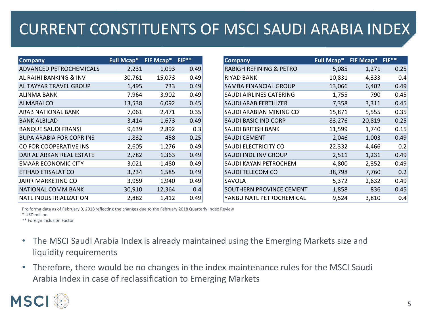#### CURRENT CONSTITUENTS OF MSCI SAUDI ARABIA INDEX

| <b>Company</b>                  | <b>Full Mcap*</b> | FIF Mcap* | $FIF**$ | <b>Company</b>                     | <b>Full Mcap*</b> | FIF Mcap* | $FIF**$ |
|---------------------------------|-------------------|-----------|---------|------------------------------------|-------------------|-----------|---------|
| <b>ADVANCED PETROCHEMICALS</b>  | 2,231             | 1,093     | 0.49    | <b>RABIGH REFINING &amp; PETRO</b> | 5,085             | 1,271     | 0.25    |
| AL RAJHI BANKING & INV          | 30,761            | 15,073    | 0.49    | <b>RIYAD BANK</b>                  | 10,831            | 4,333     |         |
| AL TAYYAR TRAVEL GROUP          | 1,495             | 733       | 0.49    | <b>SAMBA FINANCIAL GROUP</b>       | 13,066            | 6,402     |         |
| <b>ALINMA BANK</b>              | 7,964             | 3,902     | 0.49    | SAUDI AIRLINES CATERING            | 1,755             | 790       | 0.45    |
| ALMARAI CO                      | 13,538            | 6,092     | 0.45    | <b>SAUDI ARAB FERTILIZER</b>       | 7,358             | 3,311     |         |
| ARAB NATIONAL BANK              | 7,061             | 2,471     | 0.35    | SAUDI ARABIAN MINING CO            | 15,871            | 5,555     |         |
| <b>BANK ALBILAD</b>             | 3,414             | 1,673     | 0.49    | SAUDI BASIC IND CORP               | 83,276            | 20,819    |         |
| <b>BANQUE SAUDI FRANSI</b>      | 9,639             | 2,892     | 0.3     | SAUDI BRITISH BANK                 | 11,599            | 1,740     |         |
| <b>BUPA ARABIA FOR COPR INS</b> | 1,832             | 458       | 0.25    | <b>SAUDI CEMENT</b>                | 2,046             | 1,003     |         |
| CO FOR COOPERATIVE INS          | 2,605             | 1,276     | 0.49    | SAUDI ELECTRICITY CO               | 22,332            | 4,466     |         |
| DAR AL ARKAN REAL ESTATE        | 2,782             | 1,363     | 0.49    | SAUDI INDL INV GROUP               | 2,511             | 1,231     |         |
| <b>EMAAR ECONOMIC CITY</b>      | 3,021             | 1,480     | 0.49    | SAUDI KAYAN PETROCHEM              | 4,800             | 2,352     |         |
| ETIHAD ETISALAT CO              | 3,234             | 1,585     | 0.49    | <b>SAUDI TELECOM CO</b>            | 38,798            | 7,760     |         |
| JARIR MARKETING CO              | 3,959             | 1,940     | 0.49    | SAVOLA                             | 5,372             | 2,632     |         |
| NATIONAL COMM BANK              | 30,910            | 12,364    | 0.4     | SOUTHERN PROVINCE CEMENT           | 1,858             | 836       |         |
| NATL INDUSTRIALIZATION          | 2,882             | 1,412     | 0.49    | YANBU NATL PETROCHEMICAL           | 9,524             | 3,810     |         |

Pro forma data as of February 9, 2018 reflecting the changes due to the February 2018 Quarterly Index Review

\* USD million

\*\* Foreign Inclusion Factor

- The MSCI Saudi Arabia Index is already maintained using the Emerging Markets size and liquidity requirements
- Therefore, there would be no changes in the index maintenance rules for the MSCI Saudi Arabia Index in case of reclassification to Emerging Markets

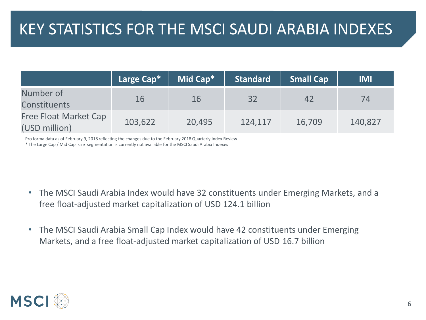|                                               | Large Cap* | Mid Cap*  | <b>Standard</b> | <b>Small Cap</b> | <b>IMI</b> |
|-----------------------------------------------|------------|-----------|-----------------|------------------|------------|
| Number of<br><b>Constituents</b>              | 16         | <b>16</b> | 32              | 42               | 74         |
| <b>Free Float Market Cap</b><br>(USD million) | 103,622    | 20,495    | 124,117         | 16,709           | 140,827    |

Pro forma data as of February 9, 2018 reflecting the changes due to the February 2018 Quarterly Index Review \* The Large Cap / Mid Cap size segmentation is currently not available for the MSCI Saudi Arabia Indexes

- The MSCI Saudi Arabia Index would have 32 constituents under Emerging Markets, and a free float-adjusted market capitalization of USD 124.1 billion
- The MSCI Saudi Arabia Small Cap Index would have 42 constituents under Emerging Markets, and a free float‐adjusted market capitalization of USD 16.7 billion

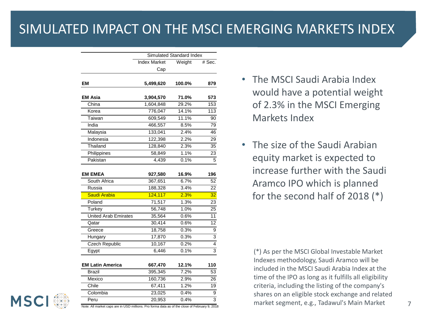#### SIMULATED IMPACT ON THE MSCI EMERGING MARKETS INDEX

| Weight<br>100.0%<br>71.0%<br>29.2%<br>14.1%<br>11.1%<br>8.5%<br>2.4%<br>2.2%<br>2.3% | # Sec.<br>879<br>573<br>153<br>113<br>90<br>79<br>46<br>29                                                            |
|--------------------------------------------------------------------------------------|-----------------------------------------------------------------------------------------------------------------------|
|                                                                                      |                                                                                                                       |
|                                                                                      |                                                                                                                       |
|                                                                                      |                                                                                                                       |
|                                                                                      |                                                                                                                       |
|                                                                                      |                                                                                                                       |
|                                                                                      |                                                                                                                       |
|                                                                                      |                                                                                                                       |
|                                                                                      |                                                                                                                       |
|                                                                                      |                                                                                                                       |
|                                                                                      |                                                                                                                       |
|                                                                                      |                                                                                                                       |
|                                                                                      |                                                                                                                       |
|                                                                                      | 35                                                                                                                    |
|                                                                                      | $\overline{23}$                                                                                                       |
|                                                                                      | $\overline{5}$                                                                                                        |
| 16.9%                                                                                | 196                                                                                                                   |
| 6.7%                                                                                 | $\overline{52}$                                                                                                       |
| 3.4%                                                                                 | 22                                                                                                                    |
| 2.3%                                                                                 | 32                                                                                                                    |
| 1.3%                                                                                 | 23                                                                                                                    |
| 1.0%                                                                                 | 25                                                                                                                    |
| 0.6%                                                                                 | 11                                                                                                                    |
| 0.6%                                                                                 | 12                                                                                                                    |
| 0.3%                                                                                 | 9                                                                                                                     |
| 0.3%                                                                                 | $\overline{3}$                                                                                                        |
| 0.2%                                                                                 | $\overline{4}$                                                                                                        |
| 0.1%                                                                                 | $\overline{3}$                                                                                                        |
|                                                                                      |                                                                                                                       |
| 12.1%                                                                                | 110                                                                                                                   |
|                                                                                      | 53                                                                                                                    |
| 2.9%                                                                                 | $\overline{26}$                                                                                                       |
| 1.2%                                                                                 | 19                                                                                                                    |
| 0.4%                                                                                 | $\overline{9}$                                                                                                        |
| 0.4%                                                                                 | $\overline{3}$                                                                                                        |
|                                                                                      | 1.1%<br>0.1%<br>7.2%<br>Note: All market caps are in USD millions. Pro forma data as of the close of February 9, 2018 |

- The MSCI Saudi Arabia Index would have a potential weight of 2.3% in the MSCI Emerging Markets Index
- The size of the Saudi Arabian equity market is expected to increase further with the Saudi Aramco IPO which is planned for the second half of 2018 (\*)

(\*) As per the MSCI Global Investable Market Indexes methodology, Saudi Aramco will be included in the MSCI Saudi Arabia Index at the time of the IPO as long as it fulfills all eligibility criteria, including the listing of the company's shares on an eligible stock exchange and related market segment, e.g., Tadawul's Main Market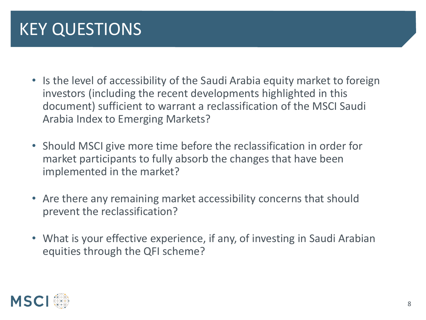# KEY QUESTIONS

- Is the level of accessibility of the Saudi Arabia equity market to foreign investors (including the recent developments highlighted in this document) sufficient to warrant a reclassification of the MSCI Saudi Arabia Index to Emerging Markets?
- Should MSCI give more time before the reclassification in order for market participants to fully absorb the changes that have been implemented in the market?
- Are there any remaining market accessibility concerns that should prevent the reclassification?
- What is your effective experience, if any, of investing in Saudi Arabian equities through the QFI scheme?

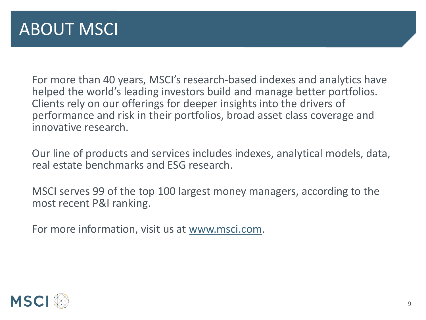For more than 40 years, MSCI's research-based indexes and analytics have helped the world's leading investors build and manage better portfolios. Clients rely on our offerings for deeper insights into the drivers of performance and risk in their portfolios, broad asset class coverage and innovative research.

Our line of products and services includes indexes, analytical models, data, real estate benchmarks and ESG research.

MSCI serves 99 of the top 100 largest money managers, according to the most recent P&I ranking.

For more information, visit us at [www.msci.com.](http://www.msci.com/)